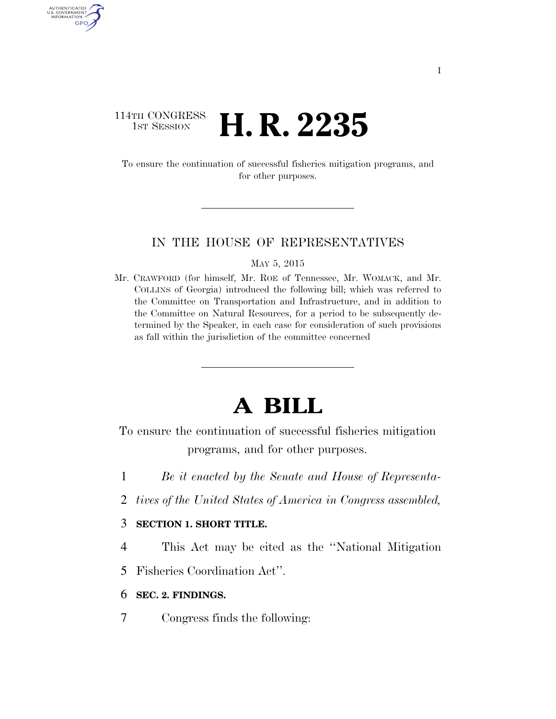## 114TH CONGRESS **1ST SESSION <b>H. R. 2235**

AUTHENTICATED U.S. GOVERNMENT GPO

> To ensure the continuation of successful fisheries mitigation programs, and for other purposes.

## IN THE HOUSE OF REPRESENTATIVES

MAY 5, 2015

Mr. CRAWFORD (for himself, Mr. ROE of Tennessee, Mr. WOMACK, and Mr. COLLINS of Georgia) introduced the following bill; which was referred to the Committee on Transportation and Infrastructure, and in addition to the Committee on Natural Resources, for a period to be subsequently determined by the Speaker, in each case for consideration of such provisions as fall within the jurisdiction of the committee concerned

## **A BILL**

To ensure the continuation of successful fisheries mitigation programs, and for other purposes.

- 1 *Be it enacted by the Senate and House of Representa-*
- 2 *tives of the United States of America in Congress assembled,*

## 3 **SECTION 1. SHORT TITLE.**

4 This Act may be cited as the ''National Mitigation

5 Fisheries Coordination Act''.

- 6 **SEC. 2. FINDINGS.**
- 7 Congress finds the following: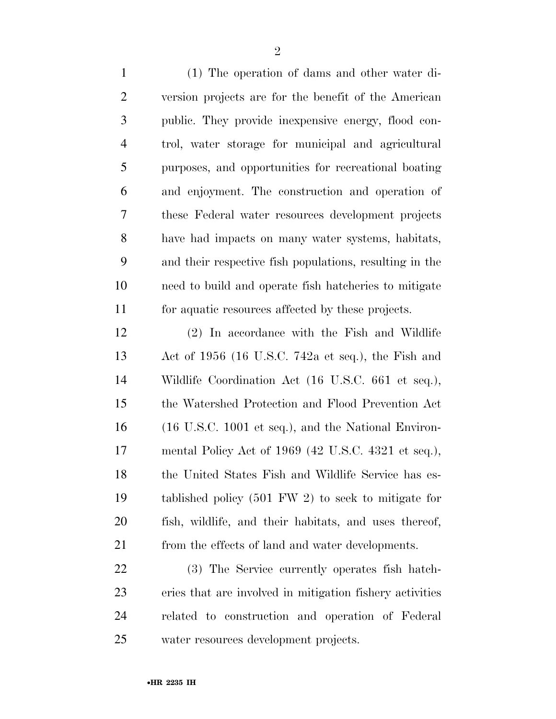(1) The operation of dams and other water di- version projects are for the benefit of the American public. They provide inexpensive energy, flood con- trol, water storage for municipal and agricultural purposes, and opportunities for recreational boating and enjoyment. The construction and operation of these Federal water resources development projects have had impacts on many water systems, habitats, and their respective fish populations, resulting in the need to build and operate fish hatcheries to mitigate for aquatic resources affected by these projects.

 (2) In accordance with the Fish and Wildlife Act of 1956 (16 U.S.C. 742a et seq.), the Fish and Wildlife Coordination Act (16 U.S.C. 661 et seq.), the Watershed Protection and Flood Prevention Act (16 U.S.C. 1001 et seq.), and the National Environ- mental Policy Act of 1969 (42 U.S.C. 4321 et seq.), the United States Fish and Wildlife Service has es- tablished policy (501 FW 2) to seek to mitigate for fish, wildlife, and their habitats, and uses thereof, 21 from the effects of land and water developments.

 (3) The Service currently operates fish hatch- eries that are involved in mitigation fishery activities related to construction and operation of Federal water resources development projects.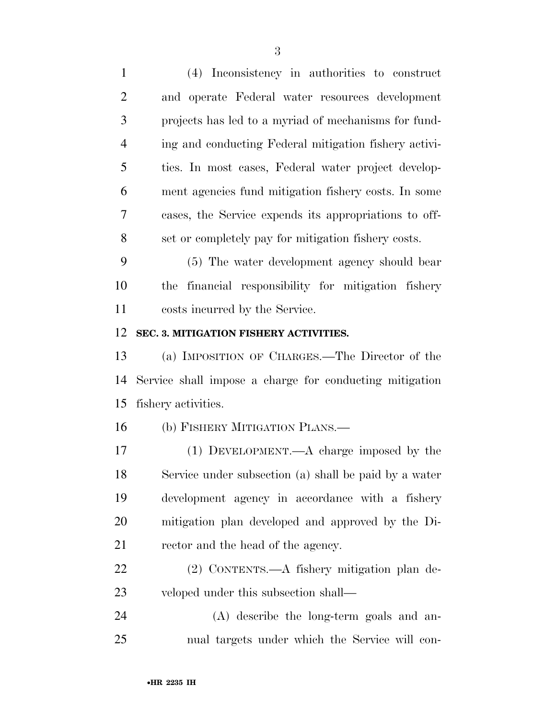| $\mathbf{1}$   | (4) Inconsistency in authorities to construct           |
|----------------|---------------------------------------------------------|
| $\overline{2}$ | and operate Federal water resources development         |
| 3              | projects has led to a myriad of mechanisms for fund-    |
| $\overline{4}$ | ing and conducting Federal mitigation fishery activi-   |
| 5              | ties. In most cases, Federal water project develop-     |
| 6              | ment agencies fund mitigation fishery costs. In some    |
| $\tau$         | cases, the Service expends its appropriations to off-   |
| 8              | set or completely pay for mitigation fishery costs.     |
| 9              | (5) The water development agency should bear            |
| 10             | the financial responsibility for mitigation fishery     |
| 11             | costs incurred by the Service.                          |
| 12             | SEC. 3. MITIGATION FISHERY ACTIVITIES.                  |
| 13             | (a) IMPOSITION OF CHARGES.—The Director of the          |
| 14             | Service shall impose a charge for conducting mitigation |
| 15             | fishery activities.                                     |
| 16             | (b) FISHERY MITIGATION PLANS.—                          |
| 17             | $(1)$ DEVELOPMENT.—A charge imposed by the              |
| 18             | Service under subsection (a) shall be paid by a water   |
| 19             | development agency in accordance with a fishery         |
| 20             | mitigation plan developed and approved by the Di-       |
| 21             | rector and the head of the agency.                      |
| 22             | (2) CONTENTS.—A fishery mitigation plan de-             |
| 23             | veloped under this subsection shall—                    |
| 24             | (A) describe the long-term goals and an-                |
| 25             | nual targets under which the Service will con-          |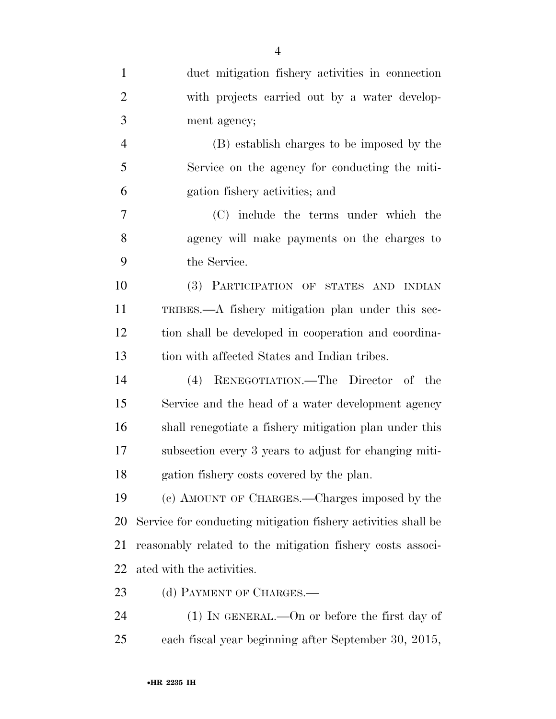| $\mathbf{1}$   | duct mitigation fishery activities in connection              |
|----------------|---------------------------------------------------------------|
| $\overline{2}$ | with projects carried out by a water develop-                 |
| 3              | ment agency;                                                  |
| $\overline{4}$ | (B) establish charges to be imposed by the                    |
| 5              | Service on the agency for conducting the miti-                |
| 6              | gation fishery activities; and                                |
| 7              | (C) include the terms under which the                         |
| 8              | agency will make payments on the charges to                   |
| 9              | the Service.                                                  |
| 10             | (3) PARTICIPATION OF STATES AND INDIAN                        |
| 11             | TRIBES.—A fishery mitigation plan under this sec-             |
| 12             | tion shall be developed in cooperation and coordina-          |
| 13             | tion with affected States and Indian tribes.                  |
| 14             | (4) RENEGOTIATION.—The Director of the                        |
| 15             | Service and the head of a water development agency            |
| 16             | shall renegotiate a fishery mitigation plan under this        |
| 17             | subsection every 3 years to adjust for changing miti-         |
| 18             | gation fishery costs covered by the plan.                     |
| 19             | (c) AMOUNT OF CHARGES.—Charges imposed by the                 |
| 20             | Service for conducting mitigation fishery activities shall be |
| 21             | reasonably related to the mitigation fishery costs associ-    |
| 22             | ated with the activities.                                     |
| 23             | (d) PAYMENT OF CHARGES.—                                      |
| 24             | $(1)$ In GENERAL.—On or before the first day of               |
| 25             | each fiscal year beginning after September 30, 2015,          |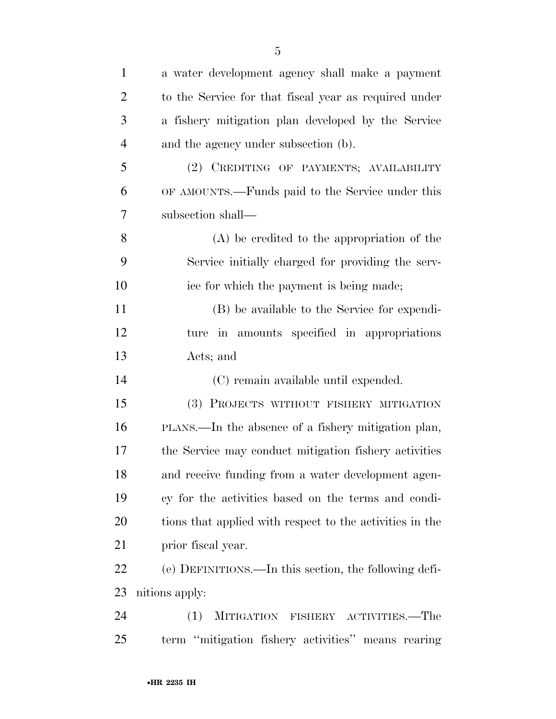| $\mathbf{1}$   | a water development agency shall make a payment          |
|----------------|----------------------------------------------------------|
| $\overline{2}$ | to the Service for that fiscal year as required under    |
| 3              | a fishery mitigation plan developed by the Service       |
| $\overline{4}$ | and the agency under subsection (b).                     |
| 5              | (2) CREDITING OF PAYMENTS; AVAILABILITY                  |
| 6              | OF AMOUNTS.—Funds paid to the Service under this         |
| 7              | subsection shall—                                        |
| 8              | $(A)$ be credited to the appropriation of the            |
| 9              | Service initially charged for providing the serv-        |
| 10             | ice for which the payment is being made;                 |
| 11             | (B) be available to the Service for expendi-             |
| 12             | ture in amounts specified in appropriations              |
| 13             | Acts; and                                                |
| 14             | (C) remain available until expended.                     |
| 15             | (3) PROJECTS WITHOUT FISHERY MITIGATION                  |
| 16             | PLANS.—In the absence of a fishery mitigation plan,      |
| 17             | the Service may conduct mitigation fishery activities    |
| 18             | and receive funding from a water development agen-       |
| 19             | cy for the activities based on the terms and condi-      |
| 20             | tions that applied with respect to the activities in the |
| 21             | prior fiscal year.                                       |
| 22             | (e) DEFINITIONS.—In this section, the following defi-    |
| 23             | nitions apply:                                           |
| 24             | (1) MITIGATION FISHERY ACTIVITIES.—The                   |
| 25             | term "mitigation fishery activities" means rearing       |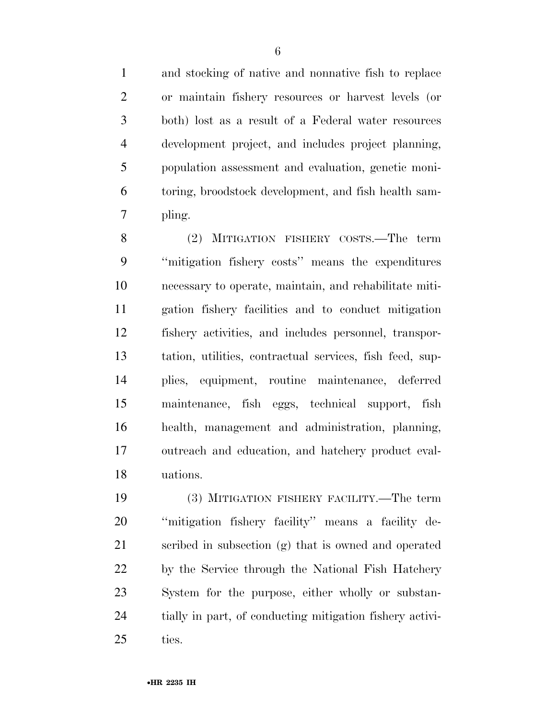and stocking of native and nonnative fish to replace or maintain fishery resources or harvest levels (or both) lost as a result of a Federal water resources development project, and includes project planning, population assessment and evaluation, genetic moni- toring, broodstock development, and fish health sam-pling.

 (2) MITIGATION FISHERY COSTS.—The term ''mitigation fishery costs'' means the expenditures necessary to operate, maintain, and rehabilitate miti- gation fishery facilities and to conduct mitigation fishery activities, and includes personnel, transpor- tation, utilities, contractual services, fish feed, sup- plies, equipment, routine maintenance, deferred maintenance, fish eggs, technical support, fish health, management and administration, planning, outreach and education, and hatchery product eval-uations.

 (3) MITIGATION FISHERY FACILITY.—The term ''mitigation fishery facility'' means a facility de- scribed in subsection (g) that is owned and operated by the Service through the National Fish Hatchery System for the purpose, either wholly or substan- tially in part, of conducting mitigation fishery activi-ties.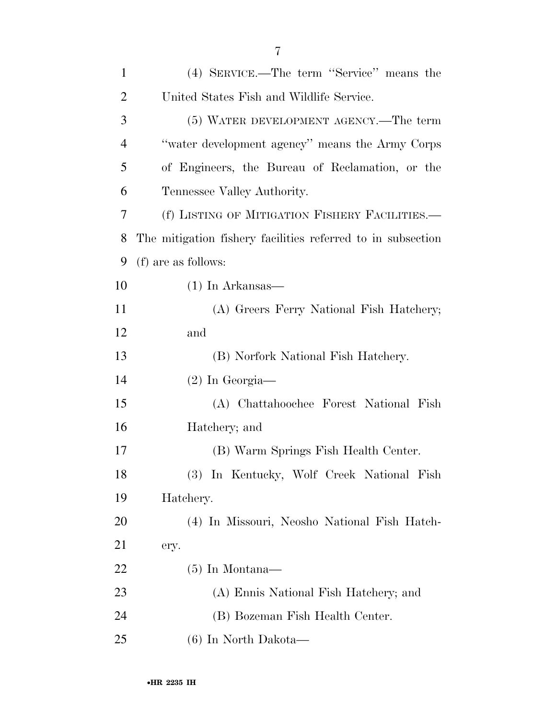| $\mathbf{1}$   | (4) SERVICE.—The term "Service" means the                   |
|----------------|-------------------------------------------------------------|
| $\overline{2}$ | United States Fish and Wildlife Service.                    |
| 3              | (5) WATER DEVELOPMENT AGENCY.—The term                      |
| 4              | "water development agency" means the Army Corps             |
| 5              | of Engineers, the Bureau of Reclamation, or the             |
| 6              | Tennessee Valley Authority.                                 |
| 7              | (f) LISTING OF MITIGATION FISHERY FACILITIES.—              |
| 8              | The mitigation fishery facilities referred to in subsection |
| 9              | (f) are as follows:                                         |
| 10             | $(1)$ In Arkansas—                                          |
| 11             | (A) Greers Ferry National Fish Hatchery;                    |
| 12             | and                                                         |
| 13             | (B) Norfork National Fish Hatchery.                         |
| 14             | $(2)$ In Georgia—                                           |
| 15             | (A) Chattahoochee Forest National Fish                      |
| 16             | Hatchery; and                                               |
| 17             | (B) Warm Springs Fish Health Center.                        |
| 18             | (3) In Kentucky, Wolf Creek National Fish                   |
| 19             | Hatchery.                                                   |
| <b>20</b>      | (4) In Missouri, Neosho National Fish Hatch-                |
| 21             | ery.                                                        |
| 22             | $(5)$ In Montana—                                           |
| 23             | (A) Ennis National Fish Hatchery; and                       |
| 24             | (B) Bozeman Fish Health Center.                             |
| 25             | (6) In North Dakota—                                        |